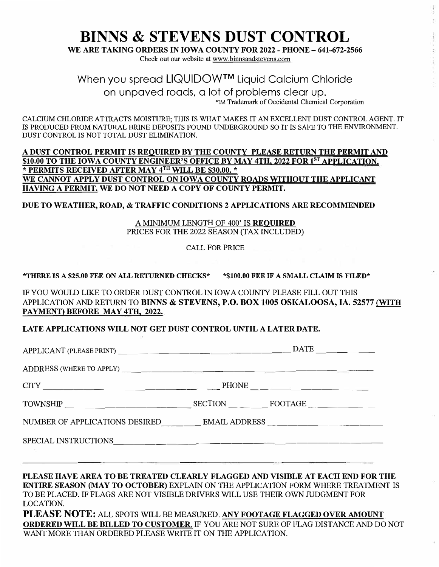# **BINNS & STEVENS DUST CONTROL**

**WE ARE TAKING ORDERS IN IOWA COUNTY FOR 2022 - PHONE- 641-672-2566** 

Check out our website at www.binnsandstevens.com

# When you spread LIQUIDOW™ Liquid Calcium Chloride on unpaved roads, a lot of problems clear up. 'TM Trademark of Occidental Chemical Corporation

CALCIUM CHLORIDE ATTRACTS MOISTURE; THIS IS WHAT MAKES IT AN EXCELLENT DUST CON1ROL AGENT. IT IS PRODUCED FROM NATURAL BRINE DEPOSITS FOUND UNDERGROUND SO IT IS SAFE TO THE ENVIRONMENT. DUST CONTROL IS NOT TOTAL DUST ELIMINATION.

**A DUST CONTROL PERMIT IS REQUIRED BY THE COUNTY PLEASE RETURN THE PERMIT AND \$10.00 TO THE IOWA COUNTY ENGINEER'S OFFICE BY MAY 4TH, 2022 FOR 1 sr APPLICATION.**  \* **PERMITS RECEIVED AFTER MAY 4<sup>m</sup>WILL BE \$30.00.** \* **WE CANNOT APPLY DUST CONTROL ON IOWA COUNTY ROADS WITHOUT THE APPLICANT HAVING A PERMIT. WE DO NOT NEED A COPY OF COUNTY PERMIT.** 

**DUE TO WEATHER, ROAD,** & **TRAFFIC CONDITIONS** 2 **APPLICATIONS ARE RECOMMENDED** 

# A MINIMUM LENGTH OF 400' IS **REQUIRED**  PRICES FOR THE 2022 SEASON (TAX INCLUDED)

CALL FOR PRICE

**\*THERE IS A \$25.00 FEE ON ALL RETURNED CHECKS\* \*\$100.00 FEE IF A SMALL CLAIM IS FILED\*** 

IF YOU WOULD LIKE TO ORDER DUST CONTROL IN IOWA COUNTY PLEASE FILL OUT THIS APPLICATION AND RETURN TO **BINNS** & **STEVENS, P.O. BOX 1005 OSKALOOSA, IA. 52577 {WITH PAYMENT) BEFORE MAY 4TH, 2022.** 

**LATE APPLICATIONS WILL NOT GET DUST CONTROL UNTIL A LATER DATE.** 

|                                                                     |  | $SECTION$ FOOTAGE |
|---------------------------------------------------------------------|--|-------------------|
| NUMBER OF APPLICATIONS DESIRED EMAIL ADDRESS ______________________ |  |                   |
|                                                                     |  |                   |
|                                                                     |  |                   |

**PLEASE HAVE AREA TO BE TREATED CLEARLY FLAGGED AND VISIBLE AT EACH END FOR THE ENTIRE SEASON (MAY TO OCTOBER)** EXPLAIN ON 11ffi APPLICATION FORM WHERE TREATMENT IS TO BE PLACED. IF FLAGS ARE NOT VISIBLE DRIVERS WILL USE THEIR OWN JUDGMENT FOR LOCATION,

**PLEASE NOTE:** ALL SPOTS WILL BE MEASURED. **ANY FOOTAGE FLAGGED OVER AMOUNT ORDERED WILL BE BILLED TO CUSTOMER.** IF YOU ARE NOT SURE OF FLAG DISTANCE AND DO NOT WANT MORE THAN ORDERED PLEASE WRITE IT ON THE APPLICATION.